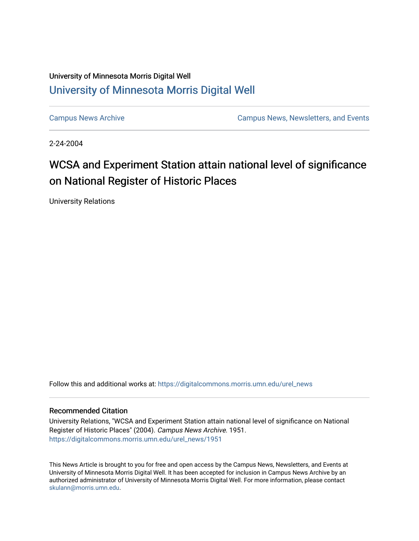## University of Minnesota Morris Digital Well [University of Minnesota Morris Digital Well](https://digitalcommons.morris.umn.edu/)

[Campus News Archive](https://digitalcommons.morris.umn.edu/urel_news) [Campus News, Newsletters, and Events](https://digitalcommons.morris.umn.edu/externalrel) 

2-24-2004

## WCSA and Experiment Station attain national level of significance on National Register of Historic Places

University Relations

Follow this and additional works at: [https://digitalcommons.morris.umn.edu/urel\\_news](https://digitalcommons.morris.umn.edu/urel_news?utm_source=digitalcommons.morris.umn.edu%2Furel_news%2F1951&utm_medium=PDF&utm_campaign=PDFCoverPages) 

## Recommended Citation

University Relations, "WCSA and Experiment Station attain national level of significance on National Register of Historic Places" (2004). Campus News Archive. 1951. [https://digitalcommons.morris.umn.edu/urel\\_news/1951](https://digitalcommons.morris.umn.edu/urel_news/1951?utm_source=digitalcommons.morris.umn.edu%2Furel_news%2F1951&utm_medium=PDF&utm_campaign=PDFCoverPages) 

This News Article is brought to you for free and open access by the Campus News, Newsletters, and Events at University of Minnesota Morris Digital Well. It has been accepted for inclusion in Campus News Archive by an authorized administrator of University of Minnesota Morris Digital Well. For more information, please contact [skulann@morris.umn.edu.](mailto:skulann@morris.umn.edu)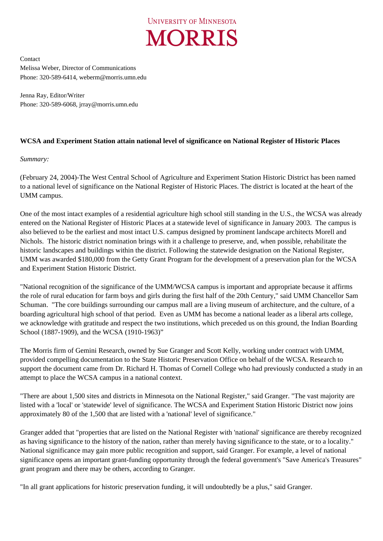

Contact Melissa Weber, Director of Communications Phone: 320-589-6414, weberm@morris.umn.edu

Jenna Ray, Editor/Writer Phone: 320-589-6068, jrray@morris.umn.edu

## **WCSA and Experiment Station attain national level of significance on National Register of Historic Places**

*Summary:* 

(February 24, 2004)-The West Central School of Agriculture and Experiment Station Historic District has been named to a national level of significance on the National Register of Historic Places. The district is located at the heart of the UMM campus.

One of the most intact examples of a residential agriculture high school still standing in the U.S., the WCSA was already entered on the National Register of Historic Places at a statewide level of significance in January 2003. The campus is also believed to be the earliest and most intact U.S. campus designed by prominent landscape architects Morell and Nichols. The historic district nomination brings with it a challenge to preserve, and, when possible, rehabilitate the historic landscapes and buildings within the district. Following the statewide designation on the National Register, UMM was awarded \$180,000 from the Getty Grant Program for the development of a preservation plan for the WCSA and Experiment Station Historic District.

"National recognition of the significance of the UMM/WCSA campus is important and appropriate because it affirms the role of rural education for farm boys and girls during the first half of the 20th Century," said UMM Chancellor Sam Schuman. "The core buildings surrounding our campus mall are a living museum of architecture, and the culture, of a boarding agricultural high school of that period. Even as UMM has become a national leader as a liberal arts college, we acknowledge with gratitude and respect the two institutions, which preceded us on this ground, the Indian Boarding School (1887-1909), and the WCSA (1910-1963)"

The Morris firm of Gemini Research, owned by Sue Granger and Scott Kelly, working under contract with UMM, provided compelling documentation to the State Historic Preservation Office on behalf of the WCSA. Research to support the document came from Dr. Richard H. Thomas of Cornell College who had previously conducted a study in an attempt to place the WCSA campus in a national context.

"There are about 1,500 sites and districts in Minnesota on the National Register," said Granger. "The vast majority are listed with a 'local' or 'statewide' level of significance. The WCSA and Experiment Station Historic District now joins approximately 80 of the 1,500 that are listed with a 'national' level of significance."

Granger added that "properties that are listed on the National Register with 'national' significance are thereby recognized as having significance to the history of the nation, rather than merely having significance to the state, or to a locality." National significance may gain more public recognition and support, said Granger. For example, a level of national significance opens an important grant-funding opportunity through the federal government's "Save America's Treasures" grant program and there may be others, according to Granger.

"In all grant applications for historic preservation funding, it will undoubtedly be a plus," said Granger.